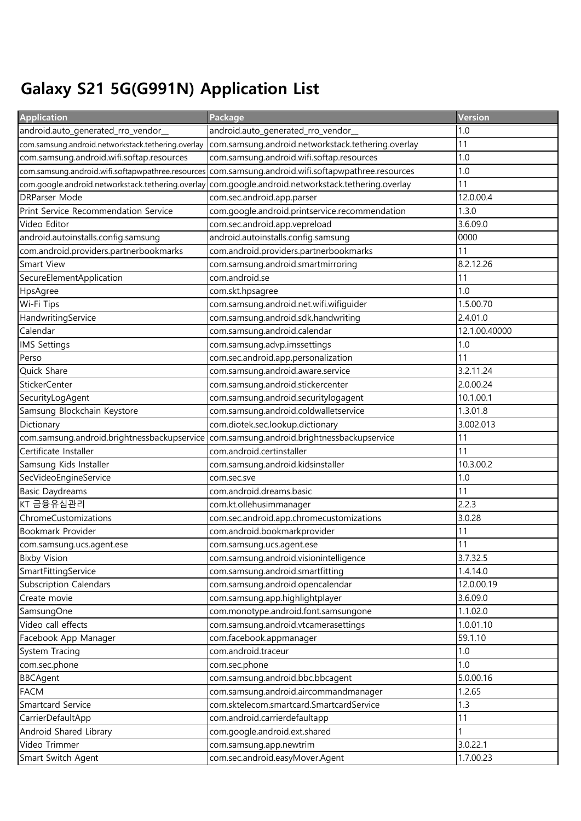## Galaxy S21 5G(G991N) Application List

| <b>Application</b>                                 | Package                                            | Version       |
|----------------------------------------------------|----------------------------------------------------|---------------|
| android.auto_generated_rro_vendor_                 | android.auto_generated_rro_vendor_                 | 1.0           |
| com.samsung.android.networkstack.tethering.overlay | com.samsung.android.networkstack.tethering.overlay | 11            |
| com.samsung.android.wifi.softap.resources          | com.samsung.android.wifi.softap.resources          | 1.0           |
| com.samsung.android.wifi.softapwpathree.resources  | com.samsung.android.wifi.softapwpathree.resources  | 1.0           |
| com.google.android.networkstack.tethering.overlay  | com.google.android.networkstack.tethering.overlay  | 11            |
| <b>DRParser Mode</b>                               | com.sec.android.app.parser                         | 12.0.00.4     |
| Print Service Recommendation Service               | com.google.android.printservice.recommendation     | 1.3.0         |
| Video Editor                                       | com.sec.android.app.vepreload                      | 3.6.09.0      |
| android.autoinstalls.config.samsung                | android.autoinstalls.config.samsung                | 0000          |
| com.android.providers.partnerbookmarks             | com.android.providers.partnerbookmarks             | 11            |
| <b>Smart View</b>                                  | com.samsung.android.smartmirroring                 | 8.2.12.26     |
| SecureElementApplication                           | com.android.se                                     | 11            |
| HpsAgree                                           | com.skt.hpsagree                                   | 1.0           |
| Wi-Fi Tips                                         | com.samsung.android.net.wifi.wifiguider            | 1.5.00.70     |
| HandwritingService                                 | com.samsung.android.sdk.handwriting                | 2.4.01.0      |
| Calendar                                           | com.samsung.android.calendar                       | 12.1.00.40000 |
| <b>IMS Settings</b>                                | com.samsung.advp.imssettings                       | 1.0           |
| Perso                                              | com.sec.android.app.personalization                | 11            |
| Quick Share                                        | com.samsung.android.aware.service                  | 3.2.11.24     |
| <b>StickerCenter</b>                               | com.samsung.android.stickercenter                  | 2.0.00.24     |
| SecurityLogAgent                                   | com.samsung.android.securitylogagent               | 10.1.00.1     |
| Samsung Blockchain Keystore                        | com.samsung.android.coldwalletservice              | 1.3.01.8      |
| Dictionary                                         | com.diotek.sec.lookup.dictionary                   | 3.002.013     |
| com.samsung.android.brightnessbackupservice        | com.samsung.android.brightnessbackupservice        | 11            |
| Certificate Installer                              | com.android.certinstaller                          | 11            |
| Samsung Kids Installer                             | com.samsung.android.kidsinstaller                  | 10.3.00.2     |
| SecVideoEngineService                              | com.sec.sve                                        | 1.0           |
| <b>Basic Daydreams</b>                             | com.android.dreams.basic                           | 11            |
| KT 금융유심관리                                          | com.kt.ollehusimmanager                            | 2.2.3         |
| ChromeCustomizations                               | com.sec.android.app.chromecustomizations           | 3.0.28        |
| Bookmark Provider                                  | com.android.bookmarkprovider                       | 11            |
| com.samsung.ucs.agent.ese                          | com.samsung.ucs.agent.ese                          | 11            |
| <b>Bixby Vision</b>                                | com.samsung.android.visionintelligence             | 3.7.32.5      |
| SmartFittingService                                | com.samsung.android.smartfitting                   | 1.4.14.0      |
| <b>Subscription Calendars</b>                      | com.samsung.android.opencalendar                   | 12.0.00.19    |
| Create movie                                       | com.samsung.app.highlightplayer                    | 3.6.09.0      |
| SamsungOne                                         | com.monotype.android.font.samsungone               | 1.1.02.0      |
| Video call effects                                 | com.samsung.android.vtcamerasettings               | 1.0.01.10     |
| Facebook App Manager                               | com.facebook.appmanager                            | 59.1.10       |
| System Tracing                                     | com.android.traceur                                | 1.0           |
| com.sec.phone                                      | com.sec.phone                                      | 1.0           |
| <b>BBCAgent</b>                                    | com.samsung.android.bbc.bbcagent                   | 5.0.00.16     |
| <b>FACM</b>                                        | com.samsung.android.aircommandmanager              | 1.2.65        |
| Smartcard Service                                  | com.sktelecom.smartcard.SmartcardService           | 1.3           |
| CarrierDefaultApp                                  | com.android.carrierdefaultapp                      | 11            |
| Android Shared Library                             | com.google.android.ext.shared                      |               |
| Video Trimmer                                      | com.samsung.app.newtrim                            | 3.0.22.1      |
| Smart Switch Agent                                 | com.sec.android.easyMover.Agent                    | 1.7.00.23     |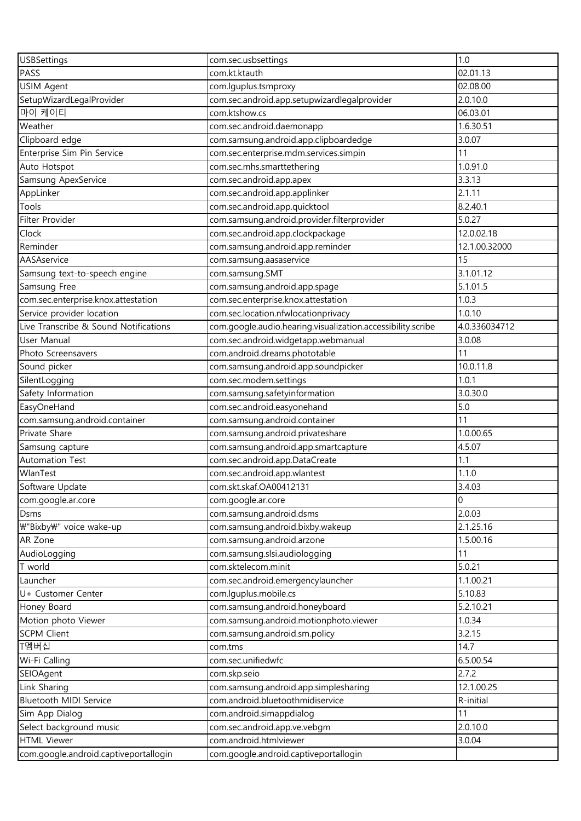| <b>USBSettings</b>                    | com.sec.usbsettings                                         | 1.0            |
|---------------------------------------|-------------------------------------------------------------|----------------|
| PASS                                  | com.kt.ktauth                                               | 02.01.13       |
| <b>USIM Agent</b>                     | com.lguplus.tsmproxy                                        | 02.08.00       |
| SetupWizardLegalProvider              | com.sec.android.app.setupwizardlegalprovider                | 2.0.10.0       |
| 마이 케이티                                | com.ktshow.cs                                               | 06.03.01       |
| Weather                               | com.sec.android.daemonapp                                   | 1.6.30.51      |
| Clipboard edge                        | com.samsung.android.app.clipboardedge                       | 3.0.07         |
| Enterprise Sim Pin Service            | com.sec.enterprise.mdm.services.simpin                      | 11             |
| Auto Hotspot                          | com.sec.mhs.smarttethering                                  | 1.0.91.0       |
| Samsung ApexService                   | com.sec.android.app.apex                                    | 3.3.13         |
| AppLinker                             | com.sec.android.app.applinker                               | 2.1.11         |
| Tools                                 | com.sec.android.app.quicktool                               | 8.2.40.1       |
| Filter Provider                       | com.samsung.android.provider.filterprovider                 | 5.0.27         |
| Clock                                 | com.sec.android.app.clockpackage                            | 12.0.02.18     |
| Reminder                              | com.samsung.android.app.reminder                            | 12.1.00.32000  |
| AASAservice                           | com.samsung.aasaservice                                     | 15             |
| Samsung text-to-speech engine         | com.samsung.SMT                                             | 3.1.01.12      |
| Samsung Free                          | com.samsung.android.app.spage                               | 5.1.01.5       |
| com.sec.enterprise.knox.attestation   | com.sec.enterprise.knox.attestation                         | 1.0.3          |
| Service provider location             | com.sec.location.nfwlocationprivacy                         | 1.0.10         |
| Live Transcribe & Sound Notifications | com.google.audio.hearing.visualization.accessibility.scribe | 4.0.336034712  |
| User Manual                           | com.sec.android.widgetapp.webmanual                         | 3.0.08         |
| Photo Screensavers                    | com.android.dreams.phototable                               | 11             |
| Sound picker                          | com.samsung.android.app.soundpicker                         | 10.0.11.8      |
| SilentLogging                         | com.sec.modem.settings                                      | 1.0.1          |
| Safety Information                    | com.samsung.safetyinformation                               | 3.0.30.0       |
| EasyOneHand                           | com.sec.android.easyonehand                                 | 5.0            |
| com.samsung.android.container         | com.samsung.android.container                               | 11             |
| Private Share                         | com.samsung.android.privateshare                            | 1.0.00.65      |
| Samsung capture                       | com.samsung.android.app.smartcapture                        | 4.5.07         |
| <b>Automation Test</b>                | com.sec.android.app.DataCreate                              | 1.1            |
| WlanTest                              | com.sec.android.app.wlantest                                | 1.1.0          |
| Software Update                       | com.skt.skaf.OA00412131                                     | 3.4.03         |
| com.google.ar.core                    | com.google.ar.core                                          | $\overline{0}$ |
| Dsms                                  | com.samsung.android.dsms                                    | 2.0.03         |
| ₩"Bixby₩" voice wake-up               | com.samsung.android.bixby.wakeup                            | 2.1.25.16      |
| AR Zone                               | com.samsung.android.arzone                                  | 1.5.00.16      |
| AudioLogging                          | com.samsung.slsi.audiologging                               | 11             |
| T world                               | com.sktelecom.minit                                         | 5.0.21         |
| Launcher                              | com.sec.android.emergencylauncher                           | 1.1.00.21      |
| U+ Customer Center                    | com.lguplus.mobile.cs                                       | 5.10.83        |
| Honey Board                           | com.samsung.android.honeyboard                              | 5.2.10.21      |
| Motion photo Viewer                   | com.samsung.android.motionphoto.viewer                      | 1.0.34         |
| <b>SCPM Client</b>                    | com.samsung.android.sm.policy                               | 3.2.15         |
| T멤버십                                  | com.tms                                                     | 14.7           |
| Wi-Fi Calling                         | com.sec.unifiedwfc                                          | 6.5.00.54      |
| SEIOAgent                             | com.skp.seio                                                | 2.7.2          |
| Link Sharing                          | com.samsung.android.app.simplesharing                       | 12.1.00.25     |
| Bluetooth MIDI Service                | com.android.bluetoothmidiservice                            | R-initial      |
| Sim App Dialog                        | com.android.simappdialog                                    | 11             |
| Select background music               | com.sec.android.app.ve.vebgm                                | 2.0.10.0       |
| <b>HTML Viewer</b>                    | com.android.htmlviewer                                      | 3.0.04         |
| com.google.android.captiveportallogin | com.google.android.captiveportallogin                       |                |
|                                       |                                                             |                |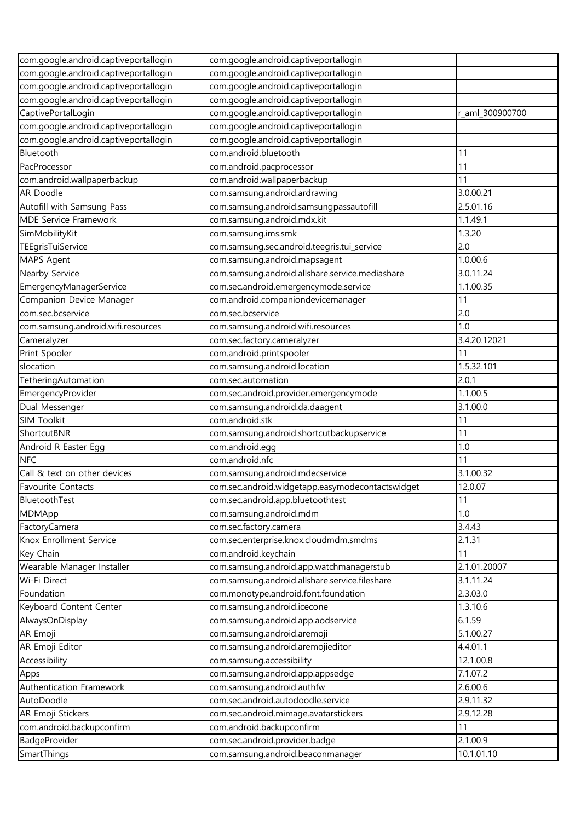| com.google.android.captiveportallogin               | com.google.android.captiveportallogin            |                 |
|-----------------------------------------------------|--------------------------------------------------|-----------------|
| com.google.android.captiveportallogin               | com.google.android.captiveportallogin            |                 |
| com.google.android.captiveportallogin               | com.google.android.captiveportallogin            |                 |
| com.google.android.captiveportallogin               | com.google.android.captiveportallogin            |                 |
| CaptivePortalLogin                                  | com.google.android.captiveportallogin            | r_aml_300900700 |
| com.google.android.captiveportallogin               | com.google.android.captiveportallogin            |                 |
| com.google.android.captiveportallogin               | com.google.android.captiveportallogin            |                 |
| Bluetooth                                           | com.android.bluetooth                            | 11              |
| PacProcessor                                        | com.android.pacprocessor                         | 11              |
| com.android.wallpaperbackup                         | com.android.wallpaperbackup                      | 11              |
| AR Doodle                                           | com.samsung.android.ardrawing                    | 3.0.00.21       |
| Autofill with Samsung Pass                          | com.samsung.android.samsungpassautofill          | 2.5.01.16       |
| <b>MDE Service Framework</b>                        | com.samsung.android.mdx.kit                      | 1.1.49.1        |
| SimMobilityKit                                      | com.samsung.ims.smk                              | 1.3.20          |
| TEEgrisTuiService                                   | com.samsung.sec.android.teegris.tui_service      | 2.0             |
| MAPS Agent                                          | com.samsung.android.mapsagent                    | 1.0.00.6        |
| Nearby Service                                      | com.samsung.android.allshare.service.mediashare  | 3.0.11.24       |
|                                                     | com.sec.android.emergencymode.service            | 1.1.00.35       |
| EmergencyManagerService<br>Companion Device Manager | com.android.companiondevicemanager               | 11              |
|                                                     |                                                  |                 |
| com.sec.bcservice                                   | com.sec.bcservice                                | 2.0             |
| com.samsung.android.wifi.resources                  | com.samsung.android.wifi.resources               | 1.0             |
| Cameralyzer                                         | com.sec.factory.cameralyzer                      | 3.4.20.12021    |
| Print Spooler                                       | com.android.printspooler                         | 11              |
| slocation                                           | com.samsung.android.location                     | 1.5.32.101      |
| TetheringAutomation                                 | com.sec.automation                               | 2.0.1           |
| EmergencyProvider                                   | com.sec.android.provider.emergencymode           | 1.1.00.5        |
| Dual Messenger                                      | com.samsung.android.da.daagent                   | 3.1.00.0        |
| <b>SIM Toolkit</b>                                  | com.android.stk                                  | 11              |
| ShortcutBNR                                         | com.samsung.android.shortcutbackupservice        | 11              |
| Android R Easter Egg                                | com.android.egg                                  | 1.0             |
| <b>NFC</b>                                          | com.android.nfc                                  | 11              |
| Call & text on other devices                        | com.samsung.android.mdecservice                  | 3.1.00.32       |
| <b>Favourite Contacts</b>                           | com.sec.android.widgetapp.easymodecontactswidget | 12.0.07         |
| BluetoothTest                                       | com.sec.android.app.bluetoothtest                | 11              |
| MDMApp                                              | com.samsung.android.mdm                          | 1.0             |
| FactoryCamera                                       | com.sec.factory.camera                           | 3.4.43          |
| Knox Enrollment Service                             | com.sec.enterprise.knox.cloudmdm.smdms           | 2.1.31          |
| Key Chain                                           | com.android.keychain                             | 11              |
| Wearable Manager Installer                          | com.samsung.android.app.watchmanagerstub         | 2.1.01.20007    |
| Wi-Fi Direct                                        | com.samsung.android.allshare.service.fileshare   | 3.1.11.24       |
| Foundation                                          | com.monotype.android.font.foundation             | 2.3.03.0        |
| Keyboard Content Center                             | com.samsung.android.icecone                      | 1.3.10.6        |
| AlwaysOnDisplay                                     | com.samsung.android.app.aodservice               | 6.1.59          |
| AR Emoji                                            | com.samsung.android.aremoji                      | 5.1.00.27       |
| AR Emoji Editor                                     | com.samsung.android.aremojieditor                | 4.4.01.1        |
| Accessibility                                       | com.samsung.accessibility                        | 12.1.00.8       |
| Apps                                                | com.samsung.android.app.appsedge                 | 7.1.07.2        |
| Authentication Framework                            | com.samsung.android.authfw                       | 2.6.00.6        |
| AutoDoodle                                          | com.sec.android.autodoodle.service               | 2.9.11.32       |
| AR Emoji Stickers                                   | com.sec.android.mimage.avatarstickers            | 2.9.12.28       |
| com.android.backupconfirm                           | com.android.backupconfirm                        | 11              |
| BadgeProvider                                       | com.sec.android.provider.badge                   | 2.1.00.9        |
| SmartThings                                         | com.samsung.android.beaconmanager                | 10.1.01.10      |
|                                                     |                                                  |                 |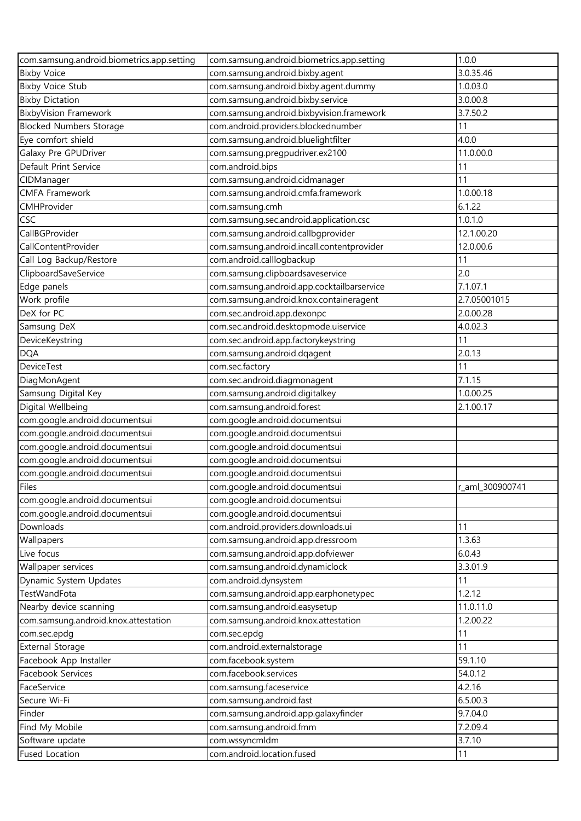| com.samsung.android.biometrics.app.setting | com.samsung.android.biometrics.app.setting | 1.0.0           |
|--------------------------------------------|--------------------------------------------|-----------------|
| <b>Bixby Voice</b>                         | com.samsung.android.bixby.agent            | 3.0.35.46       |
| <b>Bixby Voice Stub</b>                    | com.samsung.android.bixby.agent.dummy      | 1.0.03.0        |
| <b>Bixby Dictation</b>                     | com.samsung.android.bixby.service          | 3.0.00.8        |
| <b>BixbyVision Framework</b>               | com.samsung.android.bixbyvision.framework  | 3.7.50.2        |
| <b>Blocked Numbers Storage</b>             | com.android.providers.blockednumber        | 11              |
| Eye comfort shield                         | com.samsung.android.bluelightfilter        | 4.0.0           |
| Galaxy Pre GPUDriver                       | com.samsung.pregpudriver.ex2100            | 11.0.00.0       |
| Default Print Service                      | com.android.bips                           | 11              |
| CIDManager                                 | com.samsung.android.cidmanager             | 11              |
| <b>CMFA Framework</b>                      | com.samsung.android.cmfa.framework         | 1.0.00.18       |
| CMHProvider                                | com.samsung.cmh                            | 6.1.22          |
| <b>CSC</b>                                 | com.samsung.sec.android.application.csc    | 1.0.1.0         |
| CallBGProvider                             | com.samsung.android.callbgprovider         | 12.1.00.20      |
| CallContentProvider                        | com.samsung.android.incall.contentprovider | 12.0.00.6       |
| Call Log Backup/Restore                    | com.android.calllogbackup                  | 11              |
| ClipboardSaveService                       | com.samsung.clipboardsaveservice           | 2.0             |
| Edge panels                                | com.samsung.android.app.cocktailbarservice | 7.1.07.1        |
| Work profile                               | com.samsung.android.knox.containeragent    | 2.7.05001015    |
| DeX for PC                                 | com.sec.android.app.dexonpc                | 2.0.00.28       |
| Samsung DeX                                | com.sec.android.desktopmode.uiservice      | 4.0.02.3        |
| DeviceKeystring                            | com.sec.android.app.factorykeystring       | 11              |
| <b>DQA</b>                                 | com.samsung.android.dqagent                | 2.0.13          |
| <b>DeviceTest</b>                          | com.sec.factory                            | 11              |
| DiagMonAgent                               | com.sec.android.diagmonagent               | 7.1.15          |
| Samsung Digital Key                        | com.samsung.android.digitalkey             | 1.0.00.25       |
| Digital Wellbeing                          | com.samsung.android.forest                 | 2.1.00.17       |
| com.google.android.documentsui             | com.google.android.documentsui             |                 |
| com.google.android.documentsui             | com.google.android.documentsui             |                 |
| com.google.android.documentsui             | com.google.android.documentsui             |                 |
| com.google.android.documentsui             | com.google.android.documentsui             |                 |
| com.google.android.documentsui             | com.google.android.documentsui             |                 |
| Files                                      | com.google.android.documentsui             | r_aml_300900741 |
| com.google.android.documentsui             | com.google.android.documentsui             |                 |
| com.google.android.documentsui             | com.google.android.documentsui             |                 |
| Downloads                                  | com.android.providers.downloads.ui         | 11              |
|                                            | com.samsung.android.app.dressroom          | 1.3.63          |
| Wallpapers<br>Live focus                   | com.samsung.android.app.dofviewer          | 6.0.43          |
|                                            | com.samsung.android.dynamiclock            | 3.3.01.9        |
| Wallpaper services                         |                                            |                 |
| Dynamic System Updates<br>TestWandFota     | com.android.dynsystem                      | 11<br>1.2.12    |
|                                            | com.samsung.android.app.earphonetypec      | 11.0.11.0       |
| Nearby device scanning                     | com.samsung.android.easysetup              |                 |
| com.samsung.android.knox.attestation       | com.samsung.android.knox.attestation       | 1.2.00.22       |
| com.sec.epdg                               | com.sec.epdg                               | 11              |
| <b>External Storage</b>                    | com.android.externalstorage                | 11              |
| Facebook App Installer                     | com.facebook.system                        | 59.1.10         |
| Facebook Services                          | com.facebook.services                      | 54.0.12         |
| FaceService                                | com.samsung.faceservice                    | 4.2.16          |
| Secure Wi-Fi                               | com.samsung.android.fast                   | 6.5.00.3        |
| Finder                                     | com.samsung.android.app.galaxyfinder       | 9.7.04.0        |
| Find My Mobile                             | com.samsung.android.fmm                    | 7.2.09.4        |
| Software update                            | com.wssyncmldm                             | 3.7.10          |
| <b>Fused Location</b>                      | com.android.location.fused                 | 11              |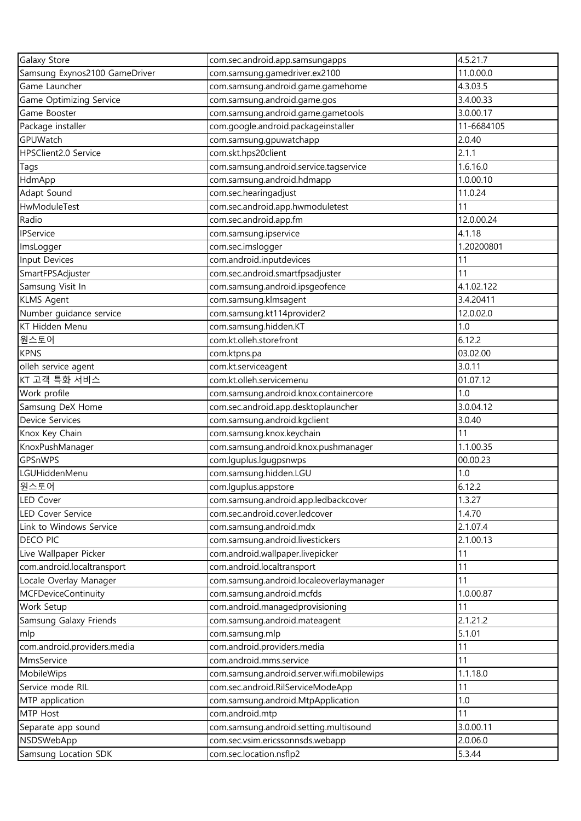| Galaxy Store                                 | com.sec.android.app.samsungapps                                               | 4.5.21.7   |
|----------------------------------------------|-------------------------------------------------------------------------------|------------|
| Samsung Exynos2100 GameDriver                | com.samsung.gamedriver.ex2100                                                 | 11.0.00.0  |
| Game Launcher                                | com.samsung.android.game.gamehome                                             | 4.3.03.5   |
| Game Optimizing Service                      | com.samsung.android.game.gos                                                  | 3.4.00.33  |
| Game Booster                                 | com.samsung.android.game.gametools                                            | 3.0.00.17  |
| Package installer                            | com.google.android.packageinstaller                                           | 11-6684105 |
| GPUWatch                                     | com.samsung.gpuwatchapp                                                       | 2.0.40     |
| HPSClient2.0 Service                         | com.skt.hps20client                                                           | 2.1.1      |
| Tags                                         | com.samsung.android.service.tagservice                                        | 1.6.16.0   |
| HdmApp                                       | com.samsung.android.hdmapp                                                    | 1.0.00.10  |
| Adapt Sound                                  | com.sec.hearingadjust                                                         | 11.0.24    |
| HwModuleTest                                 | com.sec.android.app.hwmoduletest                                              | 11         |
| Radio                                        | com.sec.android.app.fm                                                        | 12.0.00.24 |
| IPService                                    | com.samsung.ipservice                                                         | 4.1.18     |
| ImsLogger                                    | com.sec.imslogger                                                             | 1.20200801 |
| Input Devices                                | com.android.inputdevices                                                      | 11         |
| SmartFPSAdjuster                             | com.sec.android.smartfpsadjuster                                              | 11         |
| Samsung Visit In                             | com.samsung.android.ipsgeofence                                               | 4.1.02.122 |
| <b>KLMS Agent</b>                            | com.samsung.klmsagent                                                         | 3.4.20411  |
| Number guidance service                      | com.samsung.kt114provider2                                                    | 12.0.02.0  |
| KT Hidden Menu                               | com.samsung.hidden.KT                                                         | 1.0        |
| 원스토어                                         | com.kt.olleh.storefront                                                       | 6.12.2     |
| <b>KPNS</b>                                  | com.ktpns.pa                                                                  | 03.02.00   |
| olleh service agent                          | com.kt.serviceagent                                                           | 3.0.11     |
| KT 고객 특화 서비스                                 | com.kt.olleh.servicemenu                                                      | 01.07.12   |
|                                              |                                                                               | 1.0        |
| Work profile<br>Samsung DeX Home             | com.samsung.android.knox.containercore<br>com.sec.android.app.desktoplauncher | 3.0.04.12  |
| Device Services                              |                                                                               | 3.0.40     |
| Knox Key Chain                               | com.samsung.android.kgclient<br>com.samsung.knox.keychain                     | 11         |
| KnoxPushManager                              | com.samsung.android.knox.pushmanager                                          | 1.1.00.35  |
| GPSnWPS                                      | com.lguplus.lgugpsnwps                                                        | 00.00.23   |
| LGUHiddenMenu                                | com.samsung.hidden.LGU                                                        | 1.0        |
| 원스토어                                         |                                                                               | 6.12.2     |
|                                              | com.lguplus.appstore                                                          | 1.3.27     |
| <b>LED Cover</b><br><b>LED Cover Service</b> | com.samsung.android.app.ledbackcover                                          | 1.4.70     |
|                                              | com.sec.android.cover.ledcover                                                |            |
| Link to Windows Service<br><b>DECO PIC</b>   | com.samsung.android.mdx                                                       | 2.1.07.4   |
|                                              | com.samsung.android.livestickers                                              | 2.1.00.13  |
| Live Wallpaper Picker                        | com.android.wallpaper.livepicker                                              | 11         |
| com.android.localtransport                   | com.android.localtransport                                                    | 11         |
| Locale Overlay Manager                       | com.samsung.android.localeoverlaymanager                                      | 11         |
| <b>MCFDeviceContinuity</b>                   | com.samsung.android.mcfds                                                     | 1.0.00.87  |
| Work Setup                                   | com.android.managedprovisioning                                               | 11         |
| Samsung Galaxy Friends                       | com.samsung.android.mateagent                                                 | 2.1.21.2   |
| mlp                                          | com.samsung.mlp                                                               | 5.1.01     |
| com.android.providers.media                  | com.android.providers.media                                                   | 11         |
| MmsService                                   | com.android.mms.service                                                       | 11         |
| MobileWips                                   | com.samsung.android.server.wifi.mobilewips                                    | 1.1.18.0   |
| Service mode RIL                             | com.sec.android.RilServiceModeApp                                             | 11         |
| MTP application                              | com.samsung.android.MtpApplication                                            | 1.0        |
| MTP Host                                     | com.android.mtp                                                               | 11         |
| Separate app sound                           | com.samsung.android.setting.multisound                                        | 3.0.00.11  |
| NSDSWebApp                                   | com.sec.vsim.ericssonnsds.webapp                                              | 2.0.06.0   |
| Samsung Location SDK                         | com.sec.location.nsflp2                                                       | 5.3.44     |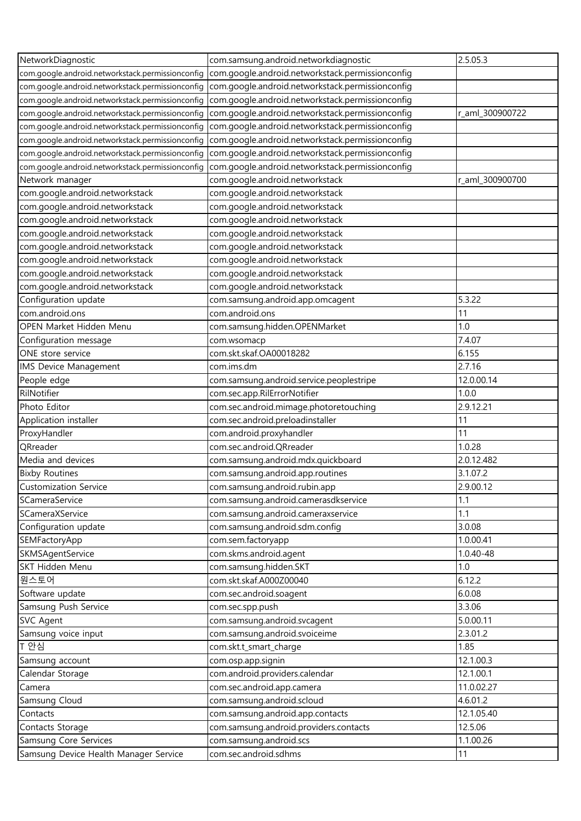| NetworkDiagnostic                                | com.samsung.android.networkdiagnostic            | 2.5.05.3        |
|--------------------------------------------------|--------------------------------------------------|-----------------|
| com.google.android.networkstack.permissionconfig | com.google.android.networkstack.permissionconfig |                 |
| com.google.android.networkstack.permissionconfig | com.google.android.networkstack.permissionconfiq |                 |
| com.google.android.networkstack.permissionconfig | com.google.android.networkstack.permissionconfig |                 |
| com.google.android.networkstack.permissionconfig | com.google.android.networkstack.permissionconfig | r_aml_300900722 |
| com.google.android.networkstack.permissionconfig | com.google.android.networkstack.permissionconfig |                 |
| com.google.android.networkstack.permissionconfig | com.google.android.networkstack.permissionconfig |                 |
| com.google.android.networkstack.permissionconfig | com.google.android.networkstack.permissionconfig |                 |
| com.google.android.networkstack.permissionconfig | com.google.android.networkstack.permissionconfig |                 |
| Network manager                                  | com.google.android.networkstack                  | r_aml_300900700 |
| com.google.android.networkstack                  | com.google.android.networkstack                  |                 |
| com.google.android.networkstack                  | com.google.android.networkstack                  |                 |
| com.google.android.networkstack                  | com.google.android.networkstack                  |                 |
| com.google.android.networkstack                  | com.google.android.networkstack                  |                 |
| com.google.android.networkstack                  | com.google.android.networkstack                  |                 |
| com.google.android.networkstack                  | com.google.android.networkstack                  |                 |
| com.google.android.networkstack                  | com.google.android.networkstack                  |                 |
| com.google.android.networkstack                  | com.google.android.networkstack                  |                 |
| Configuration update                             | com.samsung.android.app.omcagent                 | 5.3.22          |
| com.android.ons                                  | com.android.ons                                  | 11              |
| <b>OPEN Market Hidden Menu</b>                   | com.samsung.hidden.OPENMarket                    | 1.0             |
| Configuration message                            | com.wsomacp                                      | 7.4.07          |
| ONE store service                                | com.skt.skaf.OA00018282                          | 6.155           |
| <b>IMS Device Management</b>                     | com.ims.dm                                       | 2.7.16          |
| People edge                                      | com.samsung.android.service.peoplestripe         | 12.0.00.14      |
| RilNotifier                                      | com.sec.app.RilErrorNotifier                     | 1.0.0           |
| Photo Editor                                     | com.sec.android.mimage.photoretouching           | 2.9.12.21       |
| Application installer                            | com.sec.android.preloadinstaller                 | 11              |
| ProxyHandler                                     | com.android.proxyhandler                         | 11              |
| QRreader                                         | com.sec.android.QRreader                         | 1.0.28          |
| Media and devices                                | com.samsung.android.mdx.quickboard               | 2.0.12.482      |
| <b>Bixby Routines</b>                            | com.samsung.android.app.routines                 | 3.1.07.2        |
| <b>Customization Service</b>                     | com.samsung.android.rubin.app                    | 2.9.00.12       |
| SCameraService                                   | com.samsung.android.camerasdkservice             | 1.1             |
| SCameraXService                                  | com.samsung.android.cameraxservice               | 1.1             |
| Configuration update                             | com.samsung.android.sdm.config                   | 3.0.08          |
| SEMFactoryApp                                    | com.sem.factoryapp                               | 1.0.00.41       |
| SKMSAgentService                                 | com.skms.android.agent                           | 1.0.40-48       |
| SKT Hidden Menu                                  | com.samsung.hidden.SKT                           | 1.0             |
| 원스토어                                             | com.skt.skaf.A000Z00040                          | 6.12.2          |
| Software update                                  | com.sec.android.soagent                          | 6.0.08          |
| Samsung Push Service                             | com.sec.spp.push                                 | 3.3.06          |
| <b>SVC Agent</b>                                 | com.samsung.android.svcagent                     | 5.0.00.11       |
| Samsung voice input                              | com.samsung.android.svoiceime                    | 2.3.01.2        |
| T 안심                                             | com.skt.t_smart_charge                           | 1.85            |
| Samsung account                                  | com.osp.app.signin                               | 12.1.00.3       |
| Calendar Storage                                 | com.android.providers.calendar                   | 12.1.00.1       |
| Camera                                           | com.sec.android.app.camera                       | 11.0.02.27      |
| Samsung Cloud                                    | com.samsung.android.scloud                       | 4.6.01.2        |
| Contacts                                         | com.samsung.android.app.contacts                 | 12.1.05.40      |
| Contacts Storage                                 | com.samsung.android.providers.contacts           | 12.5.06         |
| Samsung Core Services                            | com.samsung.android.scs                          | 1.1.00.26       |
| Samsung Device Health Manager Service            | com.sec.android.sdhms                            | 11              |
|                                                  |                                                  |                 |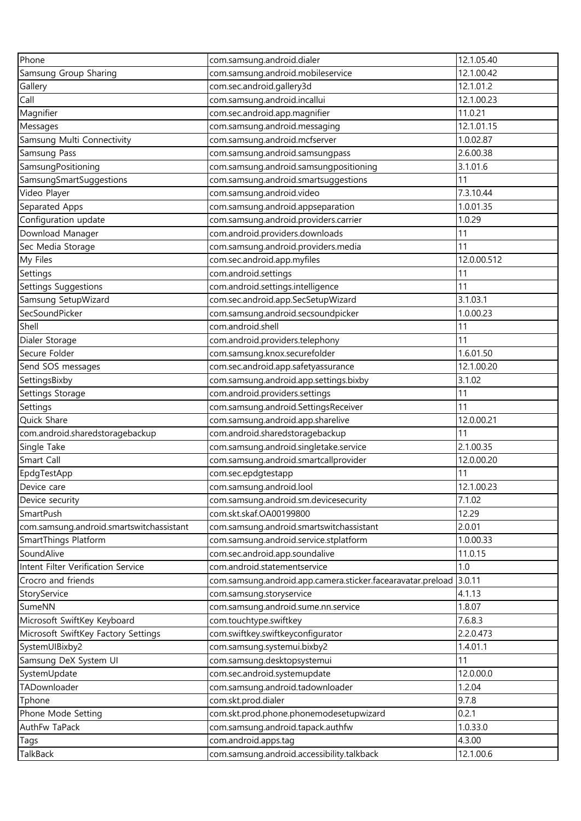| Phone                                    | com.samsung.android.dialer                                                         | 12.1.05.40       |
|------------------------------------------|------------------------------------------------------------------------------------|------------------|
| Samsung Group Sharing                    | com.samsung.android.mobileservice                                                  | 12.1.00.42       |
| Gallery                                  | com.sec.android.gallery3d                                                          | 12.1.01.2        |
| Call                                     | com.samsung.android.incallui                                                       | 12.1.00.23       |
| Magnifier                                | com.sec.android.app.magnifier                                                      | 11.0.21          |
| Messages                                 | com.samsung.android.messaging                                                      | 12.1.01.15       |
| Samsung Multi Connectivity               | com.samsung.android.mcfserver                                                      | 1.0.02.87        |
| Samsung Pass                             | com.samsung.android.samsungpass                                                    | 2.6.00.38        |
| SamsungPositioning                       | com.samsung.android.samsungpositioning                                             | 3.1.01.6         |
| SamsungSmartSuggestions                  | com.samsung.android.smartsuggestions                                               | 11               |
| Video Player                             | com.samsung.android.video                                                          | 7.3.10.44        |
| Separated Apps                           | com.samsung.android.appseparation                                                  | 1.0.01.35        |
| Configuration update                     | com.samsung.android.providers.carrier                                              | 1.0.29           |
| Download Manager                         | com.android.providers.downloads                                                    | 11               |
| Sec Media Storage                        | com.samsung.android.providers.media                                                | 11               |
| My Files                                 | com.sec.android.app.myfiles                                                        | 12.0.00.512      |
| Settings                                 | com.android.settings                                                               | 11               |
| <b>Settings Suggestions</b>              | com.android.settings.intelligence                                                  | 11               |
| Samsung SetupWizard                      | com.sec.android.app.SecSetupWizard                                                 | 3.1.03.1         |
| SecSoundPicker                           | com.samsung.android.secsoundpicker                                                 | 1.0.00.23        |
| Shell                                    | com.android.shell                                                                  | 11               |
| Dialer Storage                           | com.android.providers.telephony                                                    | 11               |
| Secure Folder                            | com.samsung.knox.securefolder                                                      | 1.6.01.50        |
| Send SOS messages                        | com.sec.android.app.safetyassurance                                                | 12.1.00.20       |
| SettingsBixby                            | com.samsung.android.app.settings.bixby                                             | 3.1.02           |
| Settings Storage                         | com.android.providers.settings                                                     | 11               |
| Settings                                 | com.samsung.android.SettingsReceiver                                               | 11               |
| Quick Share                              | com.samsung.android.app.sharelive                                                  | 12.0.00.21       |
| com.android.sharedstoragebackup          | com.android.sharedstoragebackup                                                    | 11               |
| Single Take                              | com.samsung.android.singletake.service                                             | 2.1.00.35        |
| Smart Call                               | com.samsung.android.smartcallprovider                                              | 12.0.00.20       |
| EpdgTestApp                              | com.sec.epdgtestapp                                                                | 11               |
| Device care                              | com.samsung.android.lool                                                           | 12.1.00.23       |
| Device security                          | com.samsung.android.sm.devicesecurity                                              | 7.1.02           |
| SmartPush                                | com.skt.skaf.OA00199800                                                            | 12.29            |
|                                          |                                                                                    | 2.0.01           |
| com.samsung.android.smartswitchassistant | com.samsung.android.smartswitchassistant<br>com.samsung.android.service.stplatform | 1.0.00.33        |
| SmartThings Platform<br>SoundAlive       | com.sec.android.app.soundalive                                                     | 11.0.15          |
| Intent Filter Verification Service       | com.android.statementservice                                                       | $1.0\,$          |
| Crocro and friends                       |                                                                                    |                  |
|                                          | com.samsung.android.app.camera.sticker.facearavatar.preload                        | 3.0.11<br>4.1.13 |
| StoryService                             | com.samsung.storyservice                                                           |                  |
| SumeNN                                   | com.samsung.android.sume.nn.service                                                | 1.8.07           |
| Microsoft SwiftKey Keyboard              | com.touchtype.swiftkey                                                             | 7.6.8.3          |
| Microsoft SwiftKey Factory Settings      | com.swiftkey.swiftkeyconfigurator                                                  | 2.2.0.473        |
| SystemUIBixby2                           | com.samsung.systemui.bixby2                                                        | 1.4.01.1         |
| Samsung DeX System UI                    | com.samsung.desktopsystemui                                                        | 11               |
| SystemUpdate                             | com.sec.android.systemupdate                                                       | 12.0.00.0        |
| TADownloader                             | com.samsung.android.tadownloader                                                   | 1.2.04           |
| Tphone                                   | com.skt.prod.dialer                                                                | 9.7.8            |
| Phone Mode Setting                       | com.skt.prod.phone.phonemodesetupwizard                                            | 0.2.1            |
| AuthFw TaPack                            | com.samsung.android.tapack.authfw                                                  | 1.0.33.0         |
| Tags                                     | com.android.apps.tag                                                               | 4.3.00           |
| TalkBack                                 | com.samsung.android.accessibility.talkback                                         | 12.1.00.6        |